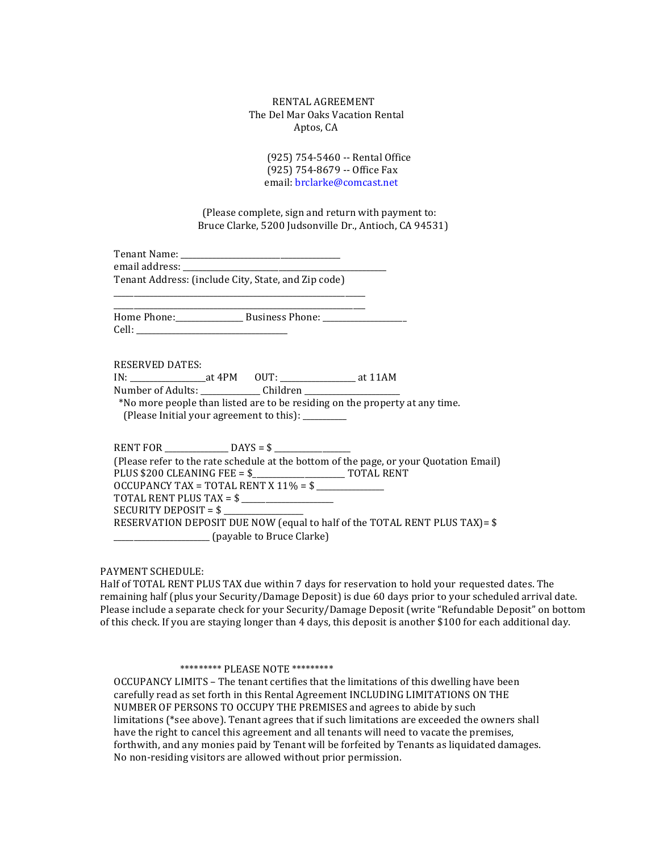## RENTAL AGREEMENT The Del Mar Oaks Vacation Rental Aptos, CA

(925) 754-5460 -- Rental Office (925) 754-8679 -- Office Fax email: brclarke@comcast.net

(Please complete, sign and return with payment to: Bruce Clarke, 5200 Judsonville Dr., Antioch, CA 94531)

Tenant Name: \_\_\_\_\_\_\_\_\_\_\_\_\_\_\_\_\_\_\_\_\_\_\_\_\_\_\_\_\_\_\_\_\_\_\_\_\_\_\_\_ email address: \_\_\_\_\_\_\_\_\_\_\_\_\_\_\_\_\_\_\_\_\_\_\_\_\_\_\_\_\_\_\_\_\_\_\_\_\_\_\_\_\_\_\_\_\_\_\_\_\_\_\_

Tenant Address: (include City, State, and Zip code) \_\_\_\_\_\_\_\_\_\_\_\_\_\_\_\_\_\_\_\_\_\_\_\_\_\_\_\_\_\_\_\_\_\_\_\_\_\_\_\_\_\_\_\_\_\_\_\_\_\_\_\_\_\_\_\_\_\_\_\_\_\_\_

\_\_\_\_\_\_\_\_\_\_\_\_\_\_\_\_\_\_\_\_\_\_\_\_\_\_\_\_\_\_\_\_\_\_\_\_\_\_\_\_\_\_\_\_\_\_\_\_\_\_\_\_\_\_\_\_\_\_\_\_\_\_\_ Home Phone:\_\_\_\_\_\_\_\_\_\_\_\_\_\_\_\_\_\_\_ Business Phone: \_\_\_\_\_\_\_\_\_\_\_\_\_\_\_\_\_\_\_\_\_\_\_\_\_\_\_\_\_\_\_\_\_ Cell:

RESERVED DATES:

IN: \_\_\_\_\_\_\_\_\_\_\_\_\_\_\_\_\_\_\_at 4PM OUT: \_\_\_\_\_\_\_\_\_\_\_\_\_\_\_\_\_\_\_ at 11AM Number of Adults: \_\_\_\_\_\_\_\_\_\_\_\_\_\_\_ Children \_\_\_\_\_\_\_\_\_\_\_\_\_\_\_\_\_\_\_\_\_\_\_\_

\*No more people than listed are to be residing on the property at any time. (Please Initial your agreement to this): \_\_\_\_\_\_\_\_\_

RENT FOR \_\_\_\_\_\_\_\_\_\_\_\_\_\_\_\_ DAYS = \$ \_\_\_\_\_\_\_\_\_\_\_\_\_\_\_\_\_\_\_ (Please refer to the rate schedule at the bottom of the page, or your Quotation Email) PLUS \$200 CLEANING FEE = \$\_\_\_\_\_\_\_\_\_\_\_\_\_\_\_\_\_\_\_\_\_\_\_ TOTAL RENT OCCUPANCY TAX = TOTAL RENT X 11% = \$ \_\_\_\_\_\_\_\_\_\_\_\_\_\_\_\_\_ TOTAL RENT PLUS TAX =  $\frac{1}{2}$ SECURITY DEPOSIT =  $\frac{1}{2}$ RESERVATION DEPOSIT DUE NOW (equal to half of the TOTAL RENT PLUS TAX)=  $$$ \_\_\_\_\_\_\_\_\_\_\_\_\_\_\_\_\_\_\_\_\_\_\_\_ (payable to Bruce Clarke)

# PAYMENT SCHEDULE:

Half of TOTAL RENT PLUS TAX due within 7 days for reservation to hold your requested dates. The remaining half (plus your Security/Damage Deposit) is due 60 days prior to your scheduled arrival date. Please include a separate check for your Security/Damage Deposit (write "Refundable Deposit" on bottom of this check. If you are staying longer than 4 days, this deposit is another \$100 for each additional day.

### \*\*\*\*\*\*\*\*\*\* PLEASE NOTE \*\*\*\*\*\*\*\*\*

OCCUPANCY LIMITS – The tenant certifies that the limitations of this dwelling have been carefully read as set forth in this Rental Agreement INCLUDING LIMITATIONS ON THE NUMBER OF PERSONS TO OCCUPY THE PREMISES and agrees to abide by such limitations (\*see above). Tenant agrees that if such limitations are exceeded the owners shall have the right to cancel this agreement and all tenants will need to vacate the premises, forthwith, and any monies paid by Tenant will be forfeited by Tenants as liquidated damages. No non-residing visitors are allowed without prior permission.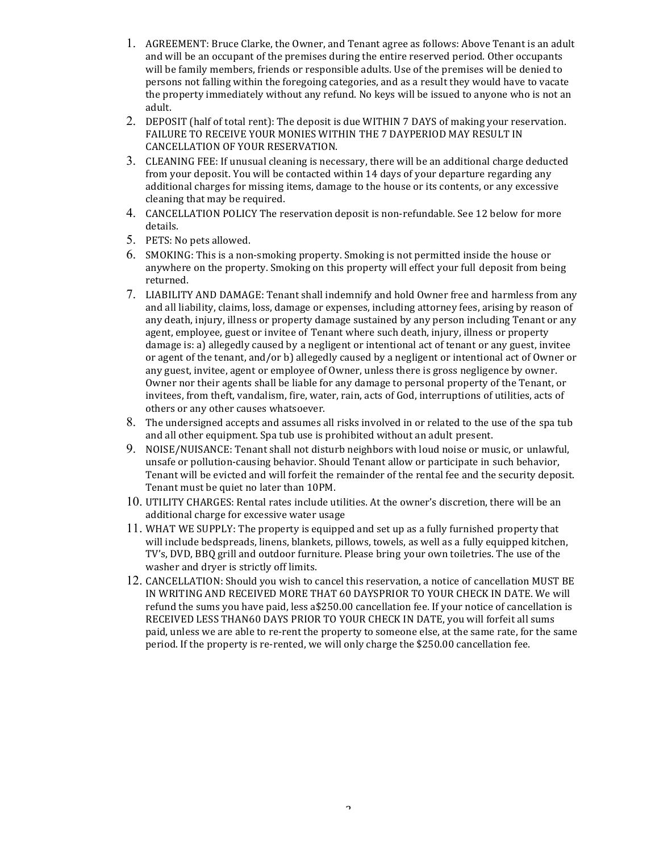- 1. AGREEMENT: Bruce Clarke, the Owner, and Tenant agree as follows: Above Tenant is an adult and will be an occupant of the premises during the entire reserved period. Other occupants will be family members, friends or responsible adults. Use of the premises will be denied to persons not falling within the foregoing categories, and as a result they would have to vacate the property immediately without any refund. No keys will be issued to anyone who is not an adult.
- 2. DEPOSIT (half of total rent): The deposit is due WITHIN 7 DAYS of making your reservation. FAILURE TO RECEIVE YOUR MONIES WITHIN THE 7 DAYPERIOD MAY RESULT IN CANCELLATION OF YOUR RESERVATION.
- 3. CLEANING FEE: If unusual cleaning is necessary, there will be an additional charge deducted from your deposit. You will be contacted within 14 days of your departure regarding any additional charges for missing items, damage to the house or its contents, or any excessive cleaning that may be required.
- 4. CANCELLATION POLICY The reservation deposit is non-refundable. See 12 below for more details.
- 5. PETS: No pets allowed.
- 6. SMOKING: This is a non-smoking property. Smoking is not permitted inside the house or anywhere on the property. Smoking on this property will effect your full deposit from being returned.
- 7. LIABILITY AND DAMAGE: Tenant shall indemnify and hold Owner free and harmless from any and all liability, claims, loss, damage or expenses, including attorney fees, arising by reason of any death, injury, illness or property damage sustained by any person including Tenant or any agent, employee, guest or invitee of Tenant where such death, injury, illness or property damage is: a) allegedly caused by a negligent or intentional act of tenant or any guest, invitee or agent of the tenant, and/or b) allegedly caused by a negligent or intentional act of Owner or any guest, invitee, agent or employee of Owner, unless there is gross negligence by owner. Owner nor their agents shall be liable for any damage to personal property of the Tenant, or invitees, from theft, vandalism, fire, water, rain, acts of God, interruptions of utilities, acts of others or any other causes whatsoever.
- 8. The undersigned accepts and assumes all risks involved in or related to the use of the spa tub and all other equipment. Spa tub use is prohibited without an adult present.
- 9. NOISE/NUISANCE: Tenant shall not disturb neighbors with loud noise or music, or unlawful, unsafe or pollution-causing behavior. Should Tenant allow or participate in such behavior, Tenant will be evicted and will forfeit the remainder of the rental fee and the security deposit. Tenant must be quiet no later than 10PM.
- $10$ . UTILITY CHARGES: Rental rates include utilities. At the owner's discretion, there will be an additional charge for excessive water usage
- 11. WHAT WE SUPPLY: The property is equipped and set up as a fully furnished property that will include bedspreads, linens, blankets, pillows, towels, as well as a fully equipped kitchen, TV's, DVD, BBQ grill and outdoor furniture. Please bring your own toiletries. The use of the washer and dryer is strictly off limits.
- 12. CANCELLATION: Should you wish to cancel this reservation, a notice of cancellation MUST BE IN WRITING AND RECEIVED MORE THAT 60 DAYSPRIOR TO YOUR CHECK IN DATE. We will refund the sums you have paid, less  $a$250.00$  cancellation fee. If your notice of cancellation is RECEIVED LESS THAN60 DAYS PRIOR TO YOUR CHECK IN DATE, you will forfeit all sums paid, unless we are able to re-rent the property to someone else, at the same rate, for the same period. If the property is re-rented, we will only charge the \$250.00 cancellation fee.